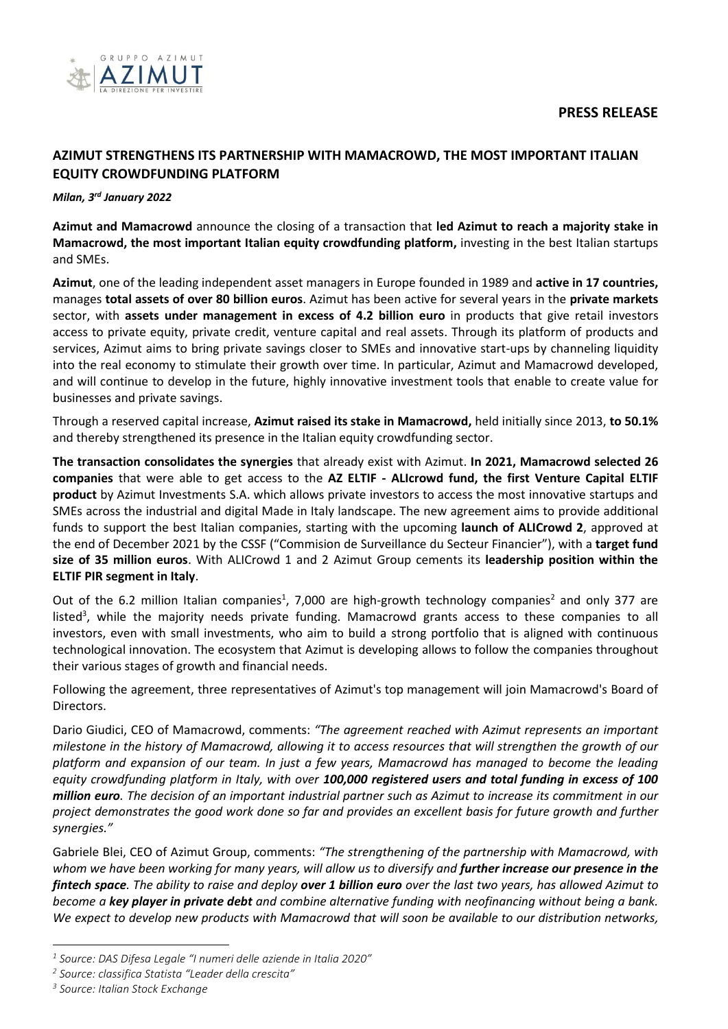

# **AZIMUT STRENGTHENS ITS PARTNERSHIP WITH MAMACROWD, THE MOST IMPORTANT ITALIAN EQUITY CROWDFUNDING PLATFORM**

# *Milan, 3 rd January 2022*

**Azimut and Mamacrowd** announce the closing of a transaction that **led Azimut to reach a majority stake in Mamacrowd, the most important Italian equity crowdfunding platform,** investing in the best Italian startups and SMEs.

**Azimut**, one of the leading independent asset managers in Europe founded in 1989 and **active in 17 countries,**  manages **total assets of over 80 billion euros**. Azimut has been active for several years in the **private markets** sector, with **assets under management in excess of 4.2 billion euro** in products that give retail investors access to private equity, private credit, venture capital and real assets. Through its platform of products and services, Azimut aims to bring private savings closer to SMEs and innovative start-ups by channeling liquidity into the real economy to stimulate their growth over time. In particular, Azimut and Mamacrowd developed, and will continue to develop in the future, highly innovative investment tools that enable to create value for businesses and private savings.

Through a reserved capital increase, **Azimut raised its stake in Mamacrowd,** held initially since 2013, **to 50.1%** and thereby strengthened its presence in the Italian equity crowdfunding sector.

**The transaction consolidates the synergies** that already exist with Azimut. **In 2021, Mamacrowd selected 26 companies** that were able to get access to the **AZ ELTIF - ALIcrowd fund, the first Venture Capital ELTIF product** by Azimut Investments S.A. which allows private investors to access the most innovative startups and SMEs across the industrial and digital Made in Italy landscape. The new agreement aims to provide additional funds to support the best Italian companies, starting with the upcoming **launch of ALICrowd 2**, approved at the end of December 2021 by the CSSF ("Commision de Surveillance du Secteur Financier"), with a **target fund size of 35 million euros**. With ALICrowd 1 and 2 Azimut Group cements its **leadership position within the ELTIF PIR segment in Italy**.

Out of the 6.2 million Italian companies<sup>1</sup>, 7,000 are high-growth technology companies<sup>2</sup> and only 377 are listed<sup>3</sup>, while the majority needs private funding. Mamacrowd grants access to these companies to all investors, even with small investments, who aim to build a strong portfolio that is aligned with continuous technological innovation. The ecosystem that Azimut is developing allows to follow the companies throughout their various stages of growth and financial needs.

Following the agreement, three representatives of Azimut's top management will join Mamacrowd's Board of Directors.

Dario Giudici, CEO of Mamacrowd, comments: *"The agreement reached with Azimut represents an important milestone in the history of Mamacrowd, allowing it to access resources that will strengthen the growth of our platform and expansion of our team. In just a few years, Mamacrowd has managed to become the leading equity crowdfunding platform in Italy, with over 100,000 registered users and total funding in excess of 100 million euro. The decision of an important industrial partner such as Azimut to increase its commitment in our project demonstrates the good work done so far and provides an excellent basis for future growth and further synergies."*

Gabriele Blei, CEO of Azimut Group, comments: *"The strengthening of the partnership with Mamacrowd, with whom we have been working for many years, will allow us to diversify and further increase our presence in the fintech space. The ability to raise and deploy over 1 billion euro over the last two years, has allowed Azimut to become a key player in private debt and combine alternative funding with neofinancing without being a bank. We expect to develop new products with Mamacrowd that will soon be available to our distribution networks,* 

 $\overline{a}$ 

*<sup>1</sup> Source: DAS Difesa Legale "I numeri delle aziende in Italia 2020"*

*<sup>2</sup> Source: classifica Statista "Leader della crescita"*

*<sup>3</sup> Source: Italian Stock Exchange*